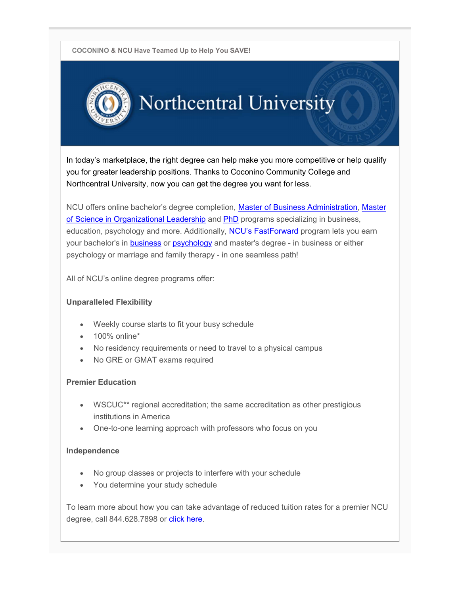COCONINO & NCU Have Teamed Up to Help You SAVE!



# Northcentral University

In today's marketplace, the right degree can help make you more competitive or help qualify you for greater leadership positions. Thanks to Coconino Community College and Northcentral University, now you can get the degree you want for less.

NCU offers online bachelor's degree completion, Master of Business Administration, Master of Science in Organizational Leadership and PhD programs specializing in business, education, psychology and more. Additionally, NCU's FastForward program lets you earn your bachelor's in **business** or psychology and master's degree - in business or either psychology or marriage and family therapy - in one seamless path!

All of NCU's online degree programs offer:

### Unparalleled Flexibility

- Weekly course starts to fit your busy schedule
- 100% online\*
- No residency requirements or need to travel to a physical campus
- No GRE or GMAT exams required

#### Premier Education

- WSCUC\*\* regional accreditation; the same accreditation as other prestigious institutions in America
- One-to-one learning approach with professors who focus on you

#### Independence

- No group classes or projects to interfere with your schedule
- You determine your study schedule

To learn more about how you can take advantage of reduced tuition rates for a premier NCU degree, call 844.628.7898 or click here.